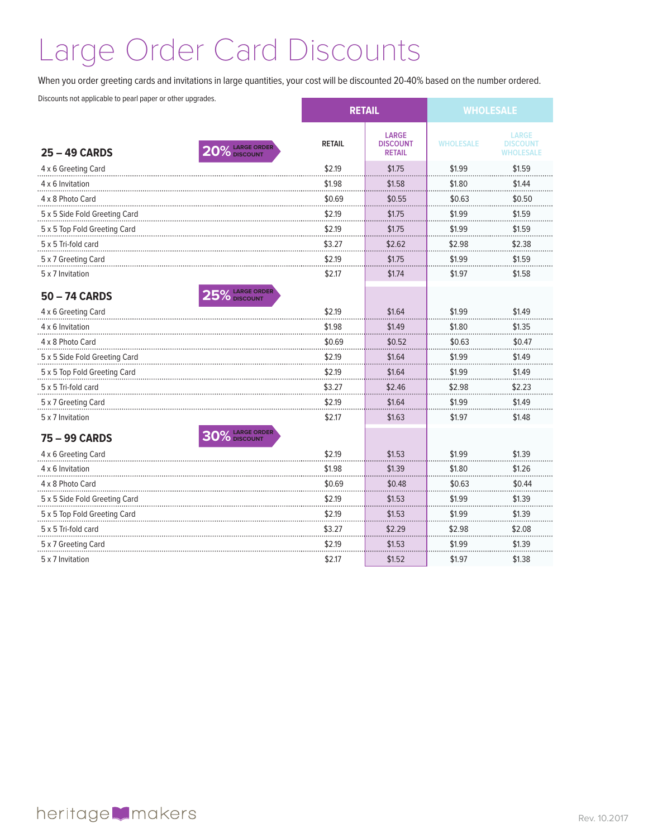## Large Order Card Discounts

When you order greeting cards and invitations in large quantities, your cost will be discounted 20-40% based on the number ordered.

Discounts not applicable to pearl paper or other upgrades.

|                               |                 | <b>RETAIL</b> |                                                  | <b>WHOLESALE</b> |                                                     |
|-------------------------------|-----------------|---------------|--------------------------------------------------|------------------|-----------------------------------------------------|
| <b>25 - 49 CARDS</b>          | 0% LARGE ORDER  | <b>RETAIL</b> | <b>LARGE</b><br><b>DISCOUNT</b><br><b>RETAIL</b> | <b>WHOLESALE</b> | <b>LARGE</b><br><b>DISCOUNT</b><br><b>WHOLESALE</b> |
| 4 x 6 Greeting Card           |                 | \$2.19        | \$1.75                                           | \$1.99           | \$1.59                                              |
| 4 x 6 Invitation              |                 | \$1.98        | \$1.58                                           | \$1.80           | \$1.44                                              |
| 4 x 8 Photo Card              |                 | \$0.69        | \$0.55                                           | \$0.63           | \$0.50                                              |
| 5 x 5 Side Fold Greeting Card |                 | \$2.19        | \$1.75                                           | \$1.99           | \$1.59                                              |
| 5 x 5 Top Fold Greeting Card  |                 | \$2.19        | \$1.75                                           | \$1.99           | \$1.59                                              |
| 5 x 5 Tri-fold card           |                 | \$3.27        | \$2.62                                           | \$2.98           | \$2.38                                              |
| 5 x 7 Greeting Card           |                 | \$2.19        | \$1.75                                           | \$1.99           | \$1.59                                              |
| 5 x 7 Invitation              |                 | \$2.17        | \$1.74                                           | \$1.97           | \$1.58                                              |
| 50 - 74 CARDS                 | 25% LARGE ORDER |               |                                                  |                  |                                                     |
| 4 x 6 Greeting Card           |                 | \$2.19        | \$1.64                                           | \$1.99           | \$1.49                                              |
| 4 x 6 Invitation              |                 | \$1.98        | \$1.49                                           | \$1.80           | \$1.35                                              |
| 4 x 8 Photo Card              |                 | \$0.69        | \$0.52                                           | \$0.63           | \$0.47                                              |
| 5 x 5 Side Fold Greeting Card |                 | \$2.19        | \$1.64                                           | \$1.99           | \$1.49                                              |
| 5 x 5 Top Fold Greeting Card  |                 | \$2.19        | \$1.64                                           | \$1.99           | \$1.49                                              |
| 5 x 5 Tri-fold card           |                 | \$3.27        | \$2.46                                           | \$2.98           | \$2.23                                              |
| 5 x 7 Greeting Card           |                 | \$2.19        | \$1.64                                           | \$1.99           | \$1.49                                              |
| 5 x 7 Invitation              |                 | \$2.17        | \$1.63                                           | \$1.97           | \$1.48                                              |
| 75 - 99 CARDS                 | 0% LARGE ORDER  |               |                                                  |                  |                                                     |
| 4 x 6 Greeting Card           |                 | \$2.19        | \$1.53                                           | \$1.99           | \$1.39                                              |
| 4 x 6 Invitation              |                 | \$1.98        | \$1.39                                           | \$1.80           | \$1.26                                              |
| 4 x 8 Photo Card              |                 | \$0.69        | \$0.48                                           | \$0.63           | \$0.44                                              |
| 5 x 5 Side Fold Greeting Card |                 | \$2.19        | \$1.53                                           | \$1.99           | \$1.39                                              |
| 5 x 5 Top Fold Greeting Card  |                 | \$2.19        | \$1.53                                           | \$1.99           | \$1.39                                              |
| 5 x 5 Tri-fold card           |                 | \$3.27        | \$2.29                                           | \$2.98           | \$2.08                                              |
| 5 x 7 Greeting Card           |                 | \$2.19        | \$1.53                                           | \$1.99           | \$1.39                                              |
| 5 x 7 Invitation              |                 | \$2.17        | \$1.52                                           | \$1.97           | \$1.38                                              |